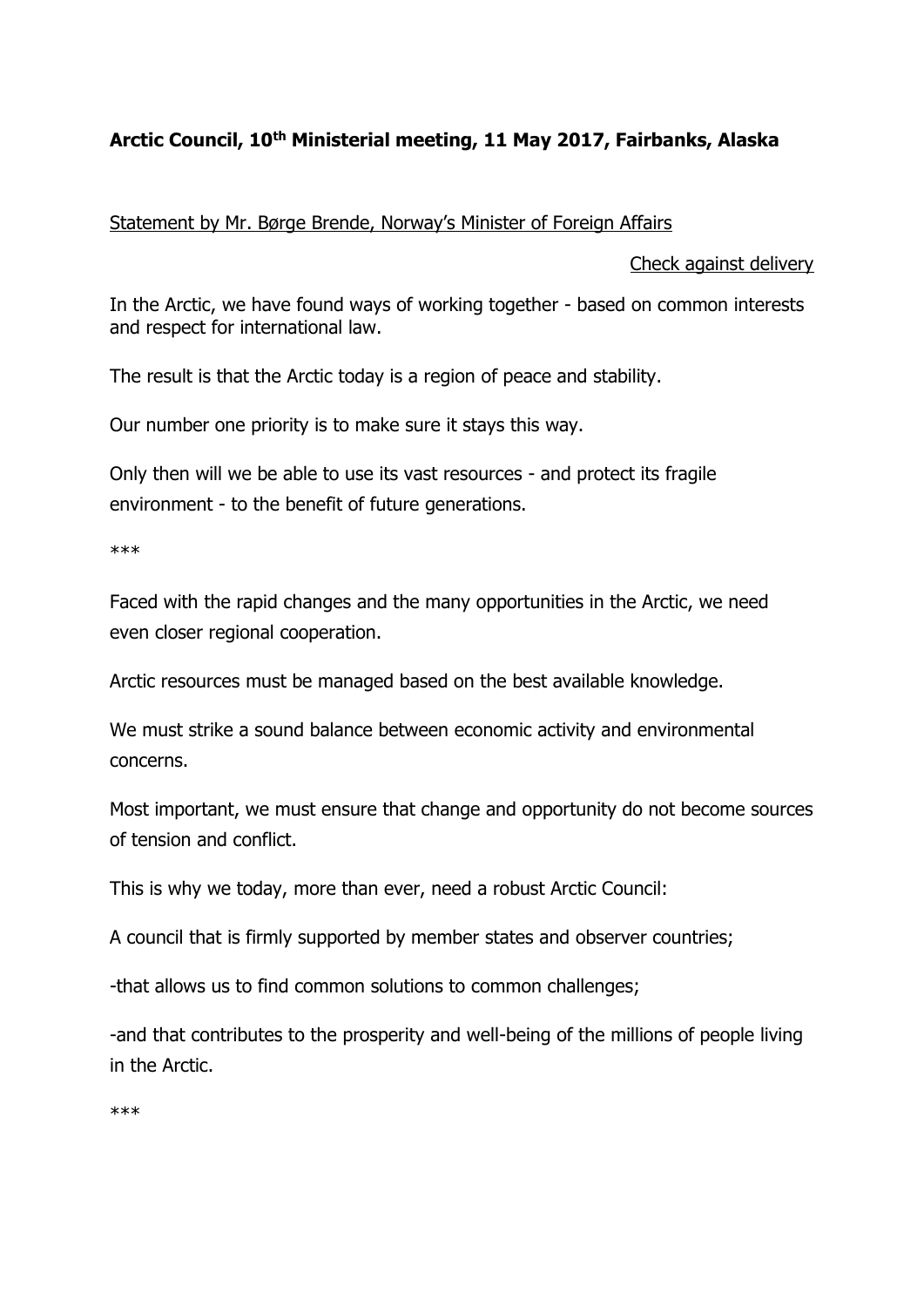## **Arctic Council, 10th Ministerial meeting, 11 May 2017, Fairbanks, Alaska**

Statement by Mr. Børge Brende, Norway's Minister of Foreign Affairs

## Check against delivery

In the Arctic, we have found ways of working together - based on common interests and respect for international law.

The result is that the Arctic today is a region of peace and stability.

Our number one priority is to make sure it stays this way.

Only then will we be able to use its vast resources - and protect its fragile environment - to the benefit of future generations.

\*\*\*

Faced with the rapid changes and the many opportunities in the Arctic, we need even closer regional cooperation.

Arctic resources must be managed based on the best available knowledge.

We must strike a sound balance between economic activity and environmental concerns.

Most important, we must ensure that change and opportunity do not become sources of tension and conflict.

This is why we today, more than ever, need a robust Arctic Council:

A council that is firmly supported by member states and observer countries;

-that allows us to find common solutions to common challenges;

-and that contributes to the prosperity and well-being of the millions of people living in the Arctic.

\*\*\*